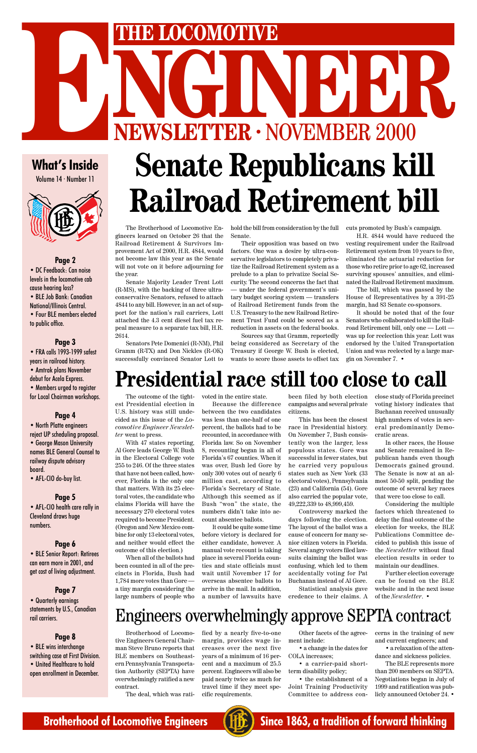

### **What's Inside**

Volume 14 · Number 11



#### **Page 2**

• DC Feedback: Can noise levels in the locomotive cab cause hearing loss?

• BLE Job Bank: Canadian National/Illinois Central.

• North Platte engineers reject UP scheduling proposal.

• Four BLE members elected to public office.

#### **Page 3**

• FRA calls 1993-1999 safest years in railroad history. • Amtrak plans November debut for Acela Express.

• Members urged to register for Local Chairman workshops.

#### **Page 4**

# **NGCOMOTIVE<br>
NGCOMOTIVE<br>
NGCOMOTIVE<br>
NGCOMOTIVE<br>
NGCOMOTIVE<br>
NGCOMOTIVE<br>
NGCOMOTIVE<br>
NGCOMOTIVE<br>
NGCOMOTIVE<br>
NGCOMOTIVE<br>
NGCOMOTIVE<br>
NGCOMOTIVE<br>
NGCOMOTIVE<br>
NGCOMOTIVE THE LOCOMOTIVE**<br> **ENEWSLETTER · NOVEMBER 2000**<br>
What's Inside Senate Republicans ki **Senate Republicans kill Railroad Retirement bill**

• George Mason University names BLE General Counsel to railway dispute advisory board.

• AFL-CIO do-buy list.

#### **Page 5**

• AFL-CIO health care rally in Cleveland draws huge numbers.

### **Page 6**

• BLE Senior Report: Retirees can earn more in 2001, and get cost of living adjustment.

**Page 7**

• Quarterly earnings statements by U.S., Canadian rail carriers.

#### **Page 8**

• BLE wins interchange switching case at First Division. • United Healthcare to hold open enrollment in December.

The Brotherhood of Locomotive Engineers learned on October 26 that the Railroad Retirement & Survivors Improvement Act of 2000, H.R. 4844, would not become law this year as the Senate will not vote on it before adjourning for the year.

Senate Majority Leader Trent Lott (R-MS), with the backing of three ultraconservative Senators, refused to attach 4844 to any bill. However, in an act of support for the nation's rail carriers, Lott attached the 4.3 cent diesel fuel tax repeal measure to a separate tax bill, H.R. 2614.

Senators Pete Domenici (R-NM), Phil Gramm (R-TX) and Don Nickles (R-OK) successfully convinced Senator Lott to

hold the bill from consideration by the full Senate.

Their opposition was based on two factors. One was a desire by ultra-conservative legislators to completely privatize the Railroad Retirement system as a prelude to a plan to privatize Social Security. The second concerns the fact that — under the federal government's unitary budget scoring system — transfers of Railroad Retirement funds from the U.S. Treasury to the new Railroad Retirement Trust Fund could be scored as a reduction in assets on the federal books.

Sources say that Gramm, reportedly being considered as Secretary of the Treasury if George W. Bush is elected, wants to score those assets to offset tax cuts promoted by Bush's campaign.

H.R. 4844 would have reduced the vesting requirement under the Railroad Retirement system from 10 years to five, eliminated the actuarial reduction for those who retire prior to age 62, increased surviving spouses' annuities, and eliminated the Railroad Retirement maximum.

The bill, which was passed by the House of Representatives by a 391-25 margin, had 83 Senate co-sponsors.

It should be noted that of the four Senators who collaborated to kill the Railroad Retirement bill, only one — Lott was up for reelection this year. Lott was endorsed by the United Transportation Union and was reelected by a large margin on November 7. •

Brotherhood of Locomotive Engineers General Chairman Steve Bruno reports that BLE members on Southeastern Pennsylvania Transportation Authority (SEPTA) have overwhelmingly ratified a new contract.

The deal, which was rati-

fied by a nearly five-to-one margin, provides wage increases over the next five years of a minimum of 16 percent and a maximum of 25.5 percent. Engineers will also be paid nearly twice as much for travel time if they meet specific requirements.

Other facets of the agreement include:

• a change in the dates for COLA increases;

• a carrier-paid shortterm disability policy;

• the establishment of a Joint Training Productivity Committee to address concerns in the training of new and current engineers; and

• a relaxation of the attendance and sickness policies.

The BLE represents more than 200 members on SEPTA. Negotiations began in July of 1999 and ratification was publicly announced October 24. •

### Engineers overwhelmingly approve SEPTA contract

# **Presidential race still too close to call**

The outcome of the tightest Presidential election in U.S. history was still undecided as this issue of the *Locomotive Engineer Newsletter* went to press.

With 47 states reporting, Al Gore leads George W. Bush in the Electoral College vote 255 to 246. Of the three states that have not been called, however, Florida is the only one that matters. With its 25 electoral votes, the candidate who claims Florida will have the necessary 270 electoral votes required to become President. (Oregon and New Mexico combine for only 13 electoral votes, and neither would effect the outcome of this election.)

When all of the ballots had been counted in all of the precincts in Florida, Bush had 1,784 more votes than Gore a tiny margin considering the large numbers of people who

voted in the entire state.

Because the difference between the two candidates was less than one-half of one percent, the ballots had to be recounted, in accordance with Florida law. So on November 8, recounting began in all of Florida's 67 counties. When it was over, Bush led Gore by only 300 votes out of nearly 6 million cast, according to Florida's Secretary of State. Although this seemed as if Bush "won" the state, the numbers didn't take into account absentee ballots.

It could be quite some time before victory is declared for either candidate, however. A manual vote recount is taking place in several Florida counties and state officials must wait until November 17 for overseas absentee ballots to arrive in the mail. In addition, a number of lawsuits have

been filed by both election campaigns and several private citizens.

This has been the closest race in Presidential history. On November 7, Bush consistently won the larger, less populous states. Gore was successful in fewer states, but he carried very populous states such as New York (33 electoral votes), Pennsylvania (23) and California (54). Gore also carried the popular vote, 49,222,339 to 48,999,459.

Controversy marked the days following the election. The layout of the ballot was a cause of concern for many senior citizen voters in Florida. Several angry voters filed lawsuits claiming the ballot was confusing, which led to them accidentally voting for Pat Buchanan instead of Al Gore. Statistical analysis gave credence to their claims. A close study of Florida precinct voting history indicates that Buchanan received unusually high numbers of votes in several predominantly Democratic areas.

In other races, the House and Senate remained in Republican hands even though Democrats gained ground. The Senate is now at an almost 50-50 split, pending the outcome of several key races that were too close to call.

Considering the multiple factors which threatened to delay the final outcome of the election for weeks, the BLE Publications Committee decided to publish this issue of the *Newsletter* without final

election results in order to maintain our deadlines.

Further election coverage can be found on the BLE website and in the next issue of the *Newsletter*. •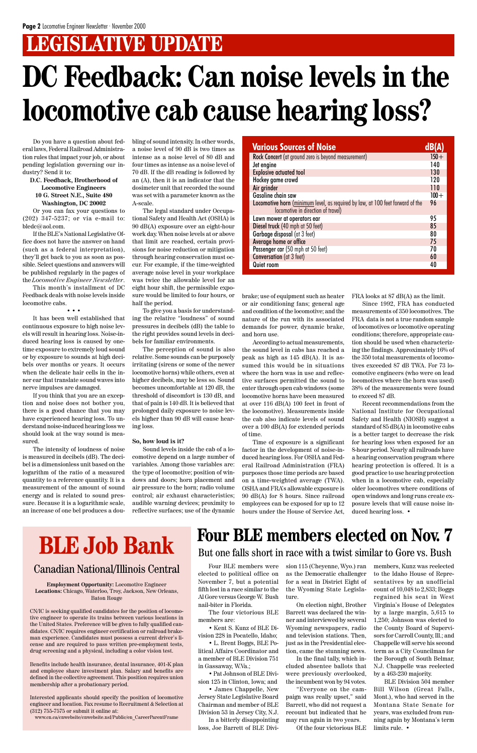# **LEGISLATIVE UPDATE**

Do you have a question about federal laws, Federal Railroad Administration rules that impact your job, or about pending legislation governing our industry? Send it to:

#### **D.C. Feedback, Brotherhood of Locomotive Engineers 10 G. Street N.E., Suite 480 Washington, DC 20002**

Or you can fax your questions to (202) 347-5237; or via e-mail to: bledc@aol.com.

If the BLE's National Legislative Office does not have the answer on hand (such as a federal interpretation), they'll get back to you as soon as possible. Select questions and answers will be published regularly in the pages of the *Locomotive Engineer Newsletter*.

This month's installment of DC Feedback deals with noise levels inside locomotive cabs.

• • • It has been well established that continuous exposure to high noise levels will result in hearing loss. Noise-induced hearing loss is caused by onetime exposure to extremely loud sound or by exposure to sounds at high decibels over months or years. It occurs when the delicate hair cells in the inner ear that translate sound waves into nerve impulses are damaged.

If you think that you are an exception and noise does not bother you, there is a good chance that you may have experienced hearing loss. To understand noise-induced hearing loss we should look at the way sound is measured.

The intensity of loudness of noise is measured in decibels (dB). The decibel is a dimensionless unit based on the logarithm of the ratio of a measured quantity to a reference quantity. It is a measurement of the amount of sound energy and is related to sound pressure. Because it is a logarithmic scale, an increase of one bel produces a doubling of sound intensity. In other words, a noise level of 90 dB is two times as intense as a noise level of 80 dB and four times as intense as a noise level of 70 dB. If the dB reading is followed by an (A), then it is an indicator that the dosimeter unit that recorded the sound was set with a parameter known as the A-scale.

The legal standard under Occupational Safety and Health Act (OSHA) is 90 dB(A) exposure over an eight-hour work day. When noise levels at or above that limit are reached, certain provisions for noise reduction or mitigation through hearing conservation must occur. For example, if the time-weighted average noise level in your workplace was twice the allowable level for an eight hour shift, the permissible exposure would be limited to four hours, or half the period.

To give you a basis for understanding the relative "loudness" of sound pressures in decibels (dB) the table to the right provides sound levels in decibels for familiar environments.

The perception of sound is also relative. Some sounds can be purposely irritating (sirens or some of the newer locomotive horns) while others, even at higher decibels, may be less so. Sound becomes uncomfortable at 120 dB, the threshold of discomfort is 130 dB, and that of pain is 140 dB. It is believed that prolonged daily exposure to noise levels higher than 90 dB will cause hearing loss.

#### **So, how loud is it?**

Sound levels inside the cab of a locomotive depend on a large number of variables. Among those variables are: the type of locomotive; position of windows and doors; horn placement and air pressure to the horn; radio volume control; air exhaust characteristics; audible warning devices; proximity to reflective surfaces; use of the dynamic

# **DC Feedback: Can noise levels in the locomotive cab cause hearing loss?**

brake; use of equipment such as heater or air conditioning fans; general age and condition of the locomotive; and the nature of the run with its associated demands for power, dynamic brake, and horn use.

According to actual measurements, the sound level in cabs has reached a peak as high as 145 dB(A). It is assumed this would be in situations where the horn was in use and reflective surfaces permitted the sound to enter through open cab windows (some locomotive horns have been measured at over 116 dB(A) 100 feet in front of the locomotive). Measurements inside the cab also indicate levels of sound over a 100 dB(A) for extended periods of time.

Time of exposure is a significant factor in the development of noise-induced hearing loss. For OSHA and Federal Railroad Administration (FRA) purposes those time periods are based on a time-weighted average (TWA). OSHA and FRA's allowable exposure is 90 dB(A) for 8 hours. Since railroad employees can be exposed for up to 12 hours under the House of Service Act, FRA looks at 87 dB(A) as the limit.

Since 1992, FRA has conducted measurements of 350 locomotives. The FRA data is not a true random sample of locomotives or locomotive operating conditions; therefore, appropriate caution should be used when characterizing the findings. Approximately 16% of the 350 total measurements of locomotives exceeded 87 dB TWA. For 73 locomotive engineers (who were on lead locomotives where the horn was used) 38% of the measurements were found to exceed 87 dB.

Recent recommendations from the National Institute for Occupational Safety and Health (NIOSH) suggest a standard of 85 dB(A) in locomotive cabs is a better target to decrease the risk for hearing loss when exposed for an 8-hour period. Nearly all railroads have a hearing conservation program where hearing protection is offered. It is a good practice to use hearing protection when in a locomotive cab, especially older locomotives where conditions of open windows and long runs create exposure levels that will cause noise induced hearing loss. •

# **BLE Job Bank**

### Canadian National/Illinois Central

**Employment Opportunity:** Locomotive Engineer **Locations:** Chicago, Waterloo, Troy, Jackson, New Orleans, Baton Rouge

CN/IC is seeking qualified candidates for the position of locomotive engineer to operate its trains between various locations in the United States. Preference will be given to fully qualified candidates. CN/IC requires engineer certification or railroad brakeman experience. Candidates must possess a current driver's license and are required to pass written pre-employment tests, drug screening and a physical, including a color vision test.

Benefits include health insurance, dental insurance, 401-K plan and employee share investment plan. Salary and benefits are defined in the collective agreement. This position requires union membership after a probationary period.

Interested applicants should specify the position of locomotive engineer and location. Fax resume to Recruitment & Selection at (312) 755-7575 or submit it online at:

www.cn.ca/cnwebsite/cnwebsite.nsf/Public/en\_CareerParentFrame

Four BLE members were elected to political office on November 7, but a potential fifth lost in a race similar to the Al Gore versus George W. Bush nail-biter in Florida.

The four victorious BLE members are:

• Kent S. Kunz of BLE Division 228 in Pocatello, Idaho;

• L. Brent Boggs, BLE Political Affairs Coordinator and a member of BLE Division 751 in Gassaway, W.Va.;

• Pat Johnson of BLE Division 125 in Clinton, Iowa; and

• James Chappelle, New Jersey State Legislative Board Chairman and member of BLE Division 53 in Jersey City, N.J. In a bitterly disappointing loss, Joe Barrett of BLE Division 115 (Cheyenne, Wyo.) ran as the Democratic challenger for a seat in District Eight of the Wyoming State Legislature.

On election night, Brother Barrett was declared the winner and interviewed by several Wyoming newspapers, radio and television stations. Then, just as in the Presidential election, came the stunning news.

In the final tally, which included absentee ballots that were previously overlooked, the incumbent won by 94 votes.

"Everyone on the campaign was really upset," said Barrett, who did not request a recount but indicated that he may run again in two years.

Of the four victorious BLE

### **Four BLE members elected on Nov. 7**

| <b>Various Sources of Noise</b>                                                                                      |         |
|----------------------------------------------------------------------------------------------------------------------|---------|
| Rock Concert (at ground zero is beyond measurement)                                                                  | $150 +$ |
| Jet engine                                                                                                           | 140     |
| <b>Explosive actuated tool</b>                                                                                       | 130     |
| Hockey game crowd                                                                                                    | 120     |
| Air grinder                                                                                                          | 110     |
| <b>Gasoline chain saw</b>                                                                                            | $100 +$ |
| Locomotive horn (minimum level, as required by law, at 100 feet forward of the<br>locomotive in direction of travel) | 96      |
| Lawn mower at operators ear                                                                                          | 95      |
| Diesel truck (40 mph at 50 feet)                                                                                     | 85      |
| Garbage disposal (at 3 feet)                                                                                         | 80      |
| Average home or office                                                                                               | 75      |
| Passenger car (50 mph at 50 feet)                                                                                    | 70      |
| Conversation (at 3 feet)                                                                                             | 60      |
| Quiet room                                                                                                           | 40      |

members, Kunz was reelected to the Idaho House of Representatives by an unofficial count of 10,048 to 2,833; Boggs regained his seat in West Virginia's House of Delegates by a large margin, 5,615 to 1,250; Johnson was elected to the County Board of Supervisors for Carroll County, Ill.; and Chappelle will serve his second term as a City Councilman for the Borough of South Belmar, N.J. Chappelle was reelected by a 463-230 majority.

BLE Division 504 member Bill Wilson (Great Falls, Mont.), who had served in the Montana State Senate for years, was excluded from running again by Montana's term limits rule. •

But one falls short in race with a twist similar to Gore vs. Bush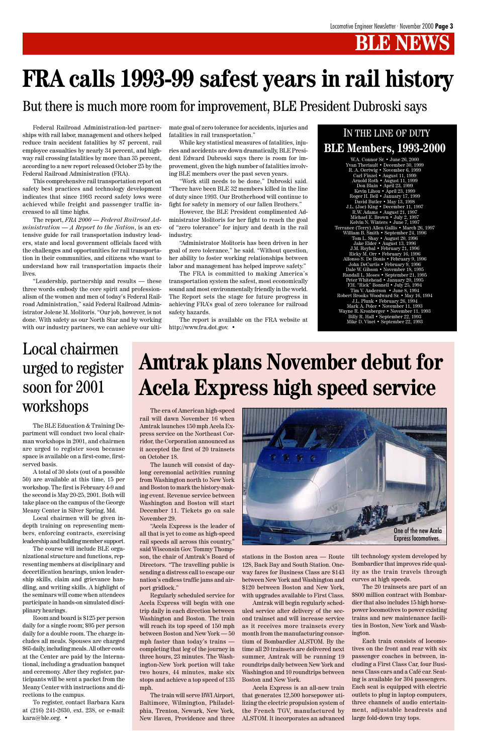## **B NEW**

Federal Railroad Administration-led partnerships with rail labor, management and others helped reduce train accident fatalities by 87 percent, rail employee casualties by nearly 34 percent, and highway rail crossing fatalities by more than 35 percent, according to a new report released October 25 by the Federal Railroad Administration (FRA).

This comprehensive rail transportation report on safety best practices and technology development indicates that since 1993 record safety lows were achieved while freight and passenger traffic increased to all time highs.

The report, *FRA 2000 — Federal Railroad Administration — A Report to the Nation*, is an extensive guide for rail transportation industry leaders, state and local government officials faced with the challenges and opportunities for rail transportation in their communities, and citizens who want to understand how rail transportation impacts their lives.

"Leadership, partnership and results — these three words embody the core spirit and professionalism of the women and men of today's Federal Railroad Administration," said Federal Railroad Administrator Jolene M. Molitoris. "Our job, however, is not done. With safety as our North Star and by working with our industry partners, we can achieve our ultimate goal of zero tolerance for accidents, injuries and fatalities in rail transportation."

While key statistical measures of fatalities, injuries and accidents are down dramatically, BLE President Edward Dubroski says there is room for improvement, given the high number of fatalities involving BLE members over the past seven years.

"Work still needs to be done," Dubroski said. "There have been BLE 32 members killed in the line of duty since 1993. Our Brotherhood will continue to fight for safety in memory of our fallen Brothers."

However, the BLE President complimented Administrator Molitoris for her fight to reach the goal of "zero tolerance" for injury and death in the rail industry.

"Administrator Molitoris has been driven in her goal of zero tolerance," he said. "Without question, her ability to foster working relationships between labor and management has helped improve safety."

The FRA is committed to making America's transportation system the safest, most economically sound and most environmentally friendly in the world. The Report sets the stage for future progress in achieving FRA's goal of zero tolerance for railroad safety hazards.

The report is available on the FRA website at http://www.fra.dot.gov. •

# **FRA calls 1993-99 safest years in rail history**

### But there is much more room for improvement, BLE President Dubroski says

W.A. Connor Sr. • June 26, 2000 Yvan Theriault • December 30, 1999 R. A. Oertwig • November 6, 1999 Carl Finzel • August 11, 1999 Arnold Roth • August 11, 1999 Don Blain • April 23, 1999 Kevin Lihou • April 23, 1999 Roger H. Bell • January 17, 1999 David Butler • May 13, 1998 J.L. (Joe) King • December 11, 1997 R.W. Adams • August 21, 1997 Michael E. Brown • July 2, 1997 Kelvin N. Winters • June 7, 1997 Terrance (Terry) Allen Gallis • March 26, 1997 William B. Smith • September 24, 1996 Tom L. Shay • August 20, 1996 Jake Elder • August 13, 1996 J.M. Roybal • February 21, 1996 Ricky M. Orr • February 16, 1996 Alfonso S. De Bonis • February 9, 1996 John DeCurtis • February 9, 1996 Dale W. Gibson • November 18, 1995 Randall L. Moses • September 21, 1995 Peter Whitehead • January 20, 1995 F.H. "Rick" Bonnell • July 25, 1994 Tim V. Anderson • June 8, 1994 Robert Brooks Woodward Sr. • May 16, 1994 J.L. Plunk • February 26, 1994 Mark A. Poler • November 11, 1993 Wayne R. Kronberger • November 11, 1993 Billy R. Hall • September 22, 1993 Mike D. Vinet • September 22, 1993

### IN THE LINE OF DUTY **BLE Members, 1993-2000**

The BLE Education & Training Department will conduct two local chairman workshops in 2001, and chairmen are urged to register soon because space is available on a first-come, firstserved basis.

A total of 30 slots (out of a possible 50) are available at this time, 15 per workshop. The first is February 4-9 and the second is May 20-25, 2001. Both will take place on the campus of the George Meany Center in Silver Spring, Md.

Local chairmen will be given indepth training on representing members, enforcing contracts, exercising leadership and building member support.

The course will include BLE orga-

nizational structure and functions, representing members at disciplinary and decertification hearings, union leadership skills, claim and grievance handling, and writing skills. A highlight of the seminars will come when attendees participate in hands-on simulated disciplinary hearings.

Room and board is \$125 per person daily for a single room; \$95 per person daily for a double room. The charge includes all meals. Spouses are charged \$65 daily, including meals. All other costs at the Center are paid by the International, including a graduation banquet and ceremony. After they register, participants will be sent a packet from the Meany Center with instructions and directions to the campus.

To register, contact Barbara Kara at (216) 241-2630, ext. 238, or e-mail: kara@ble.org. •

### Local chairmen urged to register soon for 2001 workshops

# **Amtrak plans November debut for Acela Express high speed service**

The era of American high-speed rail will dawn November 16 when Amtrak launches 150 mph Acela Express service on the Northeast Corridor, the Corporation announced as it accepted the first of 20 trainsets on October 18.

The launch will consist of daylong ceremonial activities running from Washington north to New York and Boston to mark the history-making event. Revenue service between Washington and Boston will start December 11. Tickets go on sale November 29.

"Acela Express is the leader of all that is yet to come as high-speed rail speeds all across this country," said Wisconsin Gov. Tommy Thompson, the chair of Amtrak's Board of Directors. "The travelling public is sending a distress call to escape our nation's endless traffic jams and airport gridlock." Regularly scheduled service for Acela Express will begin with one trip daily in each direction between Washington and Boston. The train will reach its top speed of 150 mph between Boston and New York — 50 mph faster than today's trains completing that leg of the journey in three hours, 23 minutes. The Washington-New York portion will take two hours, 44 minutes, make six stops and achieve a top speed of 135 mph.

The train will serve BWI Airport, Baltimore, Wilmington, Philadelphia, Trenton, Newark, New York, New Haven, Providence and three stations in the Boston area — Route 128, Back Bay and South Station. Oneway fares for Business Class are \$143 between New York and Washington and \$120 between Boston and New York, with upgrades available to First Class.

Amtrak will begin regularly scheduled service after delivery of the second trainset and will increase service as it receives more trainsets every month from the manufacturing consortium of Bombardier ALSTOM. By the time all 20 trainsets are delivered next summer, Amtrak will be running 19 roundtrips daily between New York and Washington and 10 roundtrips between Boston and New York.

Acela Express is an all-new train that generates 12,500 horsepower utilizing the electric propulsion system of the French TGV, manufactured by ALSTOM. It incorporates an advanced tilt technology system developed by Bombardier that improves ride quality as the train travels through curves at high speeds.

The 20 trainsets are part of an \$800 million contract with Bombardier that also includes 15 high horsepower locomotives to power existing trains and new maintenance facilities in Boston, New York and Washington.

Each train consists of locomotives on the front and rear with six passenger coaches in between, including a First Class Car, four Business Class cars and a Café car. Seating is available for 304 passengers. Each seat is equipped with electric outlets to plug in laptop computers, three channels of audio entertainment, adjustable headrests and large fold-down tray tops.

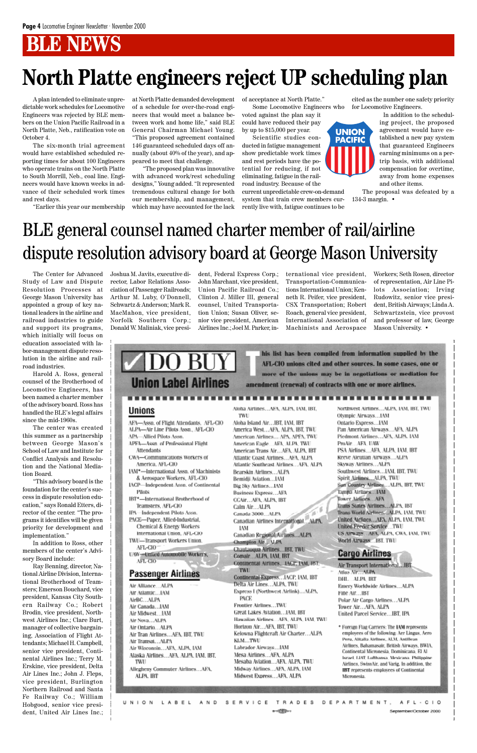## **BLE NEWS**

# **North Platte engineers reject UP scheduling plan**

A plan intended to eliminate unpredictable work schedules for Locomotive Engineers was rejected by BLE members on the Union Pacific Railroad in a North Platte, Neb., ratification vote on October 4.

The six-month trial agreement would have established scheduled reporting times for about 100 Engineers who operate trains on the North Platte to South Morrill, Neb., coal line. Engineers would have known weeks in advance of their scheduled work times and rest days.

"Earlier this year our membership

at North Platte demanded development of a schedule for over-the-road engineers that would meet a balance between work and home life," said BLE General Chairman Michael Young. "This proposed agreement contained 146 guaranteed scheduled days off annually (about 40% of the year), and appeared to meet that challenge.

"The proposed plan was innovative with advanced work/rest scheduling designs," Young added. "It represented tremendous cultural change for both our membership, and management, which may have accounted for the lack of acceptance at North Platte."

Some Locomotive Engineers who voted against the plan say it could have reduced their pay

by up to \$15,000 per year. Scientific studies conducted in fatigue management show predictable work times and rest periods have the potential for reducing, if not eliminating, fatigue in the rail-

road industry. Because of the current unpredictable crew-on-demand system that train crew members currently live with, fatigue continues to be

cited as the number one safety priority for Locomotive Engineers.

> In addition to the scheduling project, the proposed agreement would have established a new pay system that guaranteed Engineers earning minimums on a pertrip basis, with additional compensation for overtime, away from home expenses and other items.

The proposal was defeated by a 134-3 margin. •

The Center for Advanced Study of Law and Dispute Resolution Processes at George Mason University has appointed a group of key national leaders in the airline and railroad industries to guide and support its programs, which initially will focus on education associated with labor-management dispute resolution in the airline and railroad industries.

Harold A. Ross, general counsel of the Brotherhood of Locomotive Engineers, has been named a charter member of the advisory board. Ross has handled the BLE's legal affairs since the mid-1960s.

The center was created this summer as a partnership between George Mason's School of Law and Institute for Conflict Analysis and Resolution and the National Mediation Board.

"This advisory board is the foundation for the center's success in dispute resolution education," says Ronald Etters, director of the center. "The programs it identifies will be given priority for development and implementation."

In addition to Ross, other members of the center's Advi-

sory Board include:

Ray Benning, director, National Airline Division, International Brotherhood of Teamsters; Emerson Bouchard, vice president, Kansas City Southern Railway Co.; Robert Brodin, vice president, Northwest Airlines Inc.; Clare Burt, manager of collective bargaining, Association of Flight Attendants; Michael H. Campbell, senior vice president, Continental Airlines Inc.; Terry M. Erskine, vice president, Delta Air Lines Inc.; John J. Fleps, vice president, Burlington Northern Railroad and Santa Fe Railway Co.; William Hobgood, senior vice president, United Air Lines Inc.;

#### UAW-United Automobile Workers, AFL-CIO

#### **Passenger Airlines**

Air Alliance...ALPA Air Atlantic...IAM AirBC...ALPA Air Canada...IAM Air Midwest...IAM Air Nova...ALPA Air Ontario...ALPA Air Tran Airlines...AFA, IBT, TWU Air Transat, ..ALPA Air Wisconsin...AFA, ALPA, IAM Alaska Airlines...AFA, ALPA, IAM, IBT. TWU

Allegheny Commuter Airlines...AFA, ALPA, IBT

#### Comair...ALPA, IAM, IBT Continental Airlines...IACP. IAM, IBT. **TWL**

Continental Express... IACP, IAM, IBT Delta Air Lines....ALPA, TWU Express I (Northwest Airlink)...ALPA. **PACE** Frontier Airlines...TWU Great Lakes Aviation...LAM, IBT Hawaiian Airlines... APA, ALPA, IAM, TWU Horizon Air...AFA, IBT, TWU Kelowna Flightcraft Air Charter...ALPA KLM...TWU Labrador Airways...IAM

Mesa Airlines...AFA, ALPA Mesaba Aviation...AFA, ALPA, TWU Midway Airlines...AFA, ALPA, IAM Midwest Express...AFA, ALPA

Air Transport International, .. IBT Atlas Air., ALPA DHL. ALPA, IBT Emery Worldwide Airlines...ALPA Fine Air...IBT Polar Air Cargo Airlines...ALPA Tower Air...AFA, ALPA United Parcel Service...IBT, IPA

\* Foreign Flag Carriers: The IAM represents employees of the following: Aer Lingus, Aero Peru, Alitalia Airlines, ALM, Antillean-Airlines, Bahamasair, British Airways, BWIA, Continental Micronesia, Dominicana, El Al-Israel, LIAT, Lufthansa, Mexicana, Philippine Airlines, SwissAir, and Varig. In addition, the **IBT** represents employees of Continental Micronesia.

TRADES DEPARTMENT LABEL  $\begin{array}{cc} \mathsf{A} & \mathsf{N} & \mathsf{D} \end{array}$ SERVICE UNION  $A F L - C + O$ and all the state September/October 2000

Joshua M. Javits, executive director, Labor Relations Association of Passenger Railroads; Arthur M. Luby, O'Donnell, Schwartz & Anderson; Mark R. MacMahon, vice president, Norfolk Southern Corp.; Donald W. Maliniak, vice presi-

dent, Federal Express Corp.; John Marchant, vice president, Union Pacific Railroad Co.; Clinton J. Miller III, general counsel, United Transportation Union; Susan Oliver, senior vice president, American Airlines Inc.; Joel M. Parker, in-

ternational vice president, Transportation-Communications International Union; Kenneth R. Peifer, vice president, CSX Transportation; Robert Roach, general vice president, International Association of Machinists and Aerospace

Workers; Seth Rosen, director of representation, Air Line Pilots Association; Irving Rudowitz, senior vice president, British Airways; Linda A. Schwartzstein, vice provost and professor of law, George Mason University. •

his list has been compiled from information supplied by the AFL-CIO unions cited and other sources. In some cases, one or more of the unions may be in negotiations or mediation for amendment (renewal) of contracts with one or more airlines.

**UNION PACIFIC** 

#### **Unions**

AFA-Assn. of Flight Attendants, AFL-CIO ALPA-Air Line Pilots Assn., AFL-CIO APA-Allied Pilots Assn.

**Union Label Airlines** 

APFA-Assn. of Professional Flight Attendants CWA-Communications Workers of

America, AFL-CIO

IAM\*-International Assn. of Machinists & Aerospace Workers, AFL-CIO IACP-Independent Assn. of Continental

**Pilots** IBT\*-International Brotherhood of

Teamsters, AFL-CIO IPA-Independent Pilots Assn.

PACE-Paper, Allied-Industrial, Chemical & Energy Workers International Union, AFL-CIO

TWU-Transport Workers Union. AFL-CIO

Aloha Airlines...AFA, ALPA, IAM, IBT, TWU

Aloha Island Air...IBT, IAM, IBT America West...AFA, ALPA, IBT, TWU American Airlines... APA, APFA, TWU American Eagle....AFA, ALPA, TWU American Trans Air...AFA, ALPA, IBT Atlantic Coast Airlines...AFA, ALPA Atlantic Southeast Airlines... AFA, ALPA Bearskin Airlines...ALPA Bemidji Aviation...IAM Big Sky Airlines...IAM Business Express...AFA CCAIP...AFA, ALPA, IBT Calm Air...ALPA ¥ Canada 3000...ALPA Canadian Airlines International. ALPA, **IAM** Canadian Regional Airlines...ALPA Champion Air., M.PA Chautauqua Airlines...IBT, TWU

Northwest Airlines...ALPA, IAM, IBT, TWU Olympic Airways...IAM Ontario Express...IAM Pan American Airways...AFA, ALPA Piedmont Airlines...AFA, ALPA, IAM ProAir...AFA. UAW PSA Airlines... AFA, ALPA, IAM, IBT Reeve Aleutian Airways...ALPA Skyway Airlines...ALPA Southwest Airlines... IAM, IBT, TWU Spirit Ainlines....ALPA, TWU Sun Country Airlines...ALPA, IBT, TWU Tampa Airlines...IAM Tower Airlines AFA Trans States Airlines...ALPA, IBT Trans World Alrlines....ALPA, IAM, TWU United Airlines...AFA, ALPA, IAM, TWU United Feeder Service...TWU US Airways...AEA, ALPA, CWA, IAM, TWU World Airways...IBT, TWU

**Cargo Airlines** 

# BLE general counsel named charter member of rail/airline dispute resolution advisory board at George Mason University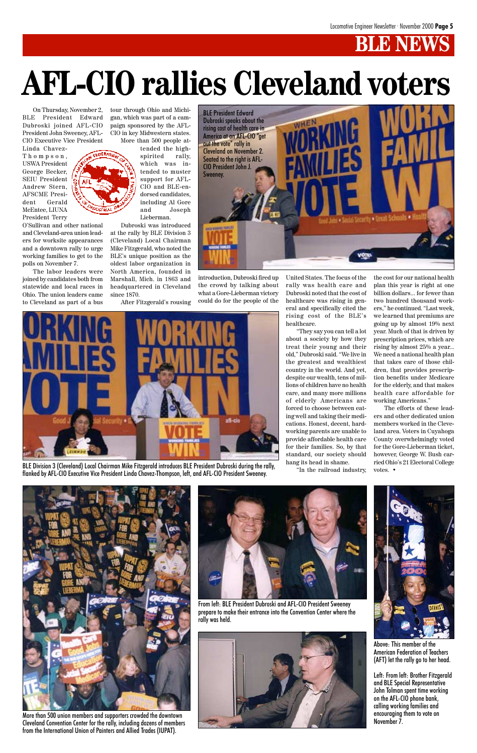# **BLE NEW**

On Thursday, November 2, BLE President Edward Dubroski joined AFL-CIO President John Sweeney, AFL-CIO Executive Vice President

Linda Chavez-Thompson, USWA President George Becker, SEIU President Andrew Stern, AFSCME President Gerald McEntee, LIUNA President Terry

O'Sullivan and other national and Cleveland-area union leaders for worksite appearances and a downtown rally to urge working families to get to the polls on November 7.

The labor leaders were joined by candidates both from statewide and local races in Ohio. The union leaders came to Cleveland as part of a bus tour through Ohio and Michigan, which was part of a campaign sponsored by the AFL-CIO in key Midwestern states. More than 500 people at-

tended the highspirited rally, which was intended to muster support for AFL-CIO and BLE-endorsed candidates, including Al Gore and Joseph Lieberman.

Dubroski was introduced at the rally by BLE Division 3 (Cleveland) Local Chairman Mike Fitzgerald, who noted the BLE's unique position as the oldest labor organization in North America, founded in Marshall, Mich. in 1863 and headquartered in Cleveland since 1870.

After Fitzgerald's rousing

# **AFL-CIO rallies Cleveland voters**



More than 500 union members and supporters crowded the downtown Cleveland Convention Center for the rally, including dozens of members from the International Union of Painters and Allied Trades (IUPAT).



BLE Division 3 (Cleveland) Local Chairman Mike Fitzgerald introduces BLE President Dubroski during the rally, flanked by AFL-CIO Executive Vice President Linda Chavez-Thompson, left, and AFL-CIO President Sweeney.

From left: BLE President Dubroski and AFL-CIO President Sweeney prepare to make their entrance into the Convention Center where the



Above: This member of the American Federation of Teachers (AFT) let the rally go to her head.

Left: From left: Brother Fitzgerald and BLE Special Representative John Tolman spent time working on the AFL-CIO phone bank, calling working families and encouraging them to vote on November 7.







introduction, Dubroski fired up the crowd by talking about what a Gore-Lieberman victory could do for the people of the United States. The focus of the rally was health care and Dubroski noted that the cost of healthcare was rising in general and specifically cited the rising cost of the BLE's healthcare.

"They say you can tell a lot about a society by how they treat their young and their old," Dubroski said. "We live in the greatest and wealthiest country in the world. And yet, despite our wealth, tens of millions of children have no health care, and many more millions of elderly Americans are forced to choose between eating well and taking their medications. Honest, decent, hardworking parents are unable to provide affordable health care for their families. So, by that standard, our society should hang its head in shame.

"In the railroad industry,

the cost for our national health plan this year is right at one billion dollars... for fewer than two hundred thousand workers," he continued. "Last week, we learned that premiums are going up by almost 19% next year. Much of that is driven by prescription prices, which are rising by almost 25% a year... We need a national health plan that takes care of those children, that provides prescription benefits under Medicare for the elderly, and that makes health care affordable for working Americans."

The efforts of these leaders and other dedicated union members worked in the Cleveland area. Voters in Cuyahoga County overwhelmingly voted for the Gore-Lieberman ticket, however, George W. Bush carried Ohio's 21 Electoral College votes. •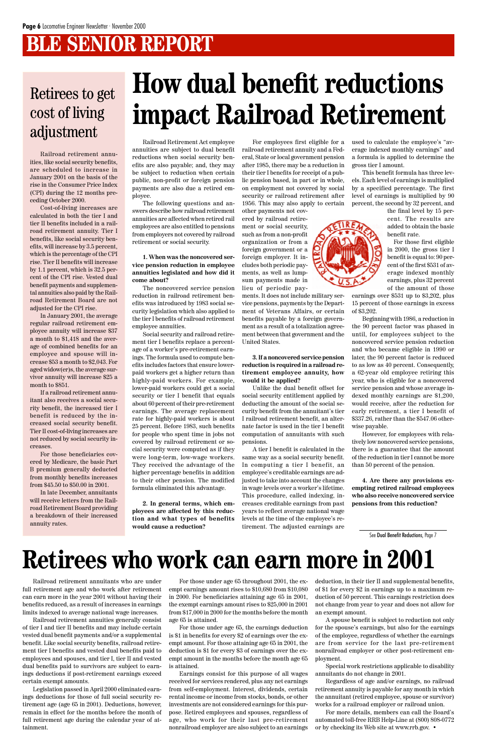# **BLE SENIOR REPORT**

Railroad Retirement Act employee annuities are subject to dual benefit reductions when social security benefits are also payable; and, they may be subject to reduction when certain public, non-profit or foreign pension payments are also due a retired employee.

The following questions and answers describe how railroad retirement annuities are affected when retired rail employees are also entitled to pensions from employers not covered by railroad retirement or social security.

#### **1. When was the noncovered service pension reduction in employee annuities legislated and how did it come about?**

The noncovered service pension reduction in railroad retirement benefits was introduced by 1983 social security legislation which also applied to the tier I benefits of railroad retirement employee annuities.

Social security and railroad retirement tier I benefits replace a percentage of a worker's pre-retirement earnings. The formula used to compute benefits includes factors that ensure lowerpaid workers get a higher return than highly-paid workers. For example, lower-paid workers could get a social security or tier I benefit that equals about 60 percent of their pre-retirement earnings. The average replacement rate for highly-paid workers is about 25 percent. Before 1983, such benefits for people who spent time in jobs not covered by railroad retirement or social security were computed as if they were long-term, low-wage workers. They received the advantage of the higher percentage benefits in addition to their other pension. The modified formula eliminated this advantage.

**2. In general terms, which employees are affected by this reduction and what types of benefits would cause a reduction?**

For employees first eligible for a railroad retirement annuity and a Federal, State or local government pension after 1985, there may be a reduction in their tier I benefits for receipt of a public pension based, in part or in whole, on employment not covered by social security or railroad retirement after 1956. This may also apply to certain

other payments not covered by railroad retirement or social security, such as from a non-profit organization or from a foreign government or a foreign employer. It includes both periodic payments, as well as lumpsum payments made in lieu of periodic pay-

ments. It does not include military service pensions, payments by the Department of Veterans Affairs, or certain benefits payable by a foreign government as a result of a totalization agreement between that government and the United States.

#### **3. If a noncovered service pension reduction is required in a railroad retirement employee annuity, how would it be applied?**

Unlike the dual benefit offset for social security entitlement applied by deducting the amount of the social security benefit from the annuitant's tier I railroad retirement benefit, an alternate factor is used in the tier I benefit computation of annuitants with such pensions.

A tier I benefit is calculated in the same way as a social security benefit. In computing a tier I benefit, an employee's creditable earnings are adjusted to take into account the changes in wage levels over a worker's lifetime. This procedure, called indexing, increases creditable earnings from past years to reflect average national wage levels at the time of the employee's retirement. The adjusted earnings are

used to calculate the employee's "average indexed monthly earnings" and a formula is applied to determine the gross tier I amount.

This benefit formula has three levels. Each level of earnings is multiplied by a specified percentage. The first level of earnings is multiplied by 90 percent, the second by 32 percent, and

the final level by 15 percent. The results are added to obtain the basic benefit rate.

For those first eligible in 2000, the gross tier I benefit is equal to: 90 percent of the first \$531 of average indexed monthly earnings, plus 32 percent of the amount of those

earnings over \$531 up to \$3,202, plus 15 percent of those earnings in excess of \$3,202.

Beginning with 1986, a reduction in the 90 percent factor was phased in until, for employees subject to the noncovered service pension reduction and who became eligible in 1990 or later, the 90 percent factor is reduced to as low as 40 percent. Consequently, a 62-year old employee retiring this year, who is eligible for a noncovered service pension and whose average indexed monthly earnings are \$1,200, would receive, after the reduction for early retirement, a tier I benefit of \$337.26, rather than the \$547.06 otherwise payable.

However, for employees with relatively low noncovered service pensions, there is a guarantee that the amount of the reduction in tier I cannot be more than 50 percent of the pension.

**4. Are there any provisions exempting retired railroad employees who also receive noncovered service pensions from this reduction?**

Railroad retirement annuitants who are under full retirement age and who work after retirement can earn more in the year 2001 without having their benefits reduced, as a result of increases in earnings limits indexed to average national wage increases.

Railroad retirement annuities generally consist of tier I and tier II benefits and may include certain vested dual benefit payments and/or a supplemental benefit. Like social security benefits, railroad retirement tier I benefits and vested dual benefits paid to employees and spouses, and tier I, tier II and vested dual benefits paid to survivors are subject to earnings deductions if post-retirement earnings exceed certain exempt amounts.

Legislation passed in April 2000 eliminated earnings deductions for those of full social security retirement age (age 65 in 2001). Deductions, however, remain in effect for the months before the month of full retirement age during the calendar year of attainment.

Railroad retirement annuities, like social security benefits, are scheduled to increase in January 2001 on the basis of the rise in the Consumer Price Index (CPI) during the 12 months preceding October 2000.

Cost-of-living increases are calculated in both the tier I and tier II benefits included in a railroad retirement annuity. Tier I benefits, like social security benefits, will increase by 3.5 percent, which is the percentage of the CPI rise. Tier II benefits will increase by 1.1 percent, which is 32.5 percent of the CPI rise. Vested dual benefit payments and supplemental annuities also paid by the Railroad Retirement Board are not adjusted for the CPI rise.

In January 2001, the average regular railroad retirement employee annuity will increase \$37 a month to \$1,418 and the average of combined benefits for an employee and spouse will increase \$53 a month to \$2,043. For aged widow(er)s, the average survivor annuity will increase \$25 a month to \$851.

If a railroad retirement annuitant also receives a social security benefit, the increased tier I benefit is reduced by the increased social security benefit. Tier II cost-of-living increases are not reduced by social security increases.

For those beneficiaries covered by Medicare, the basic Part B premium generally deducted from monthly benefits increases from \$45.50 to \$50.00 in 2001.

In late December, annuitants will receive letters from the Railroad Retirement Board providing a breakdown of their increased annuity rates.

### Retirees to get cost of living adjustment

For those under age 65 throughout 2001, the exempt earnings amount rises to \$10,680 from \$10,080 in 2000. For beneficiaries attaining age 65 in 2001, the exempt earnings amount rises to \$25,000 in 2001 from \$17,000 in 2000 for the months before the month age 65 is attained.

For those under age 65, the earnings deduction is \$1 in benefits for every \$2 of earnings over the exempt amount. For those attaining age 65 in 2001, the deduction is \$1 for every \$3 of earnings over the exempt amount in the months before the month age 65 is attained.

Earnings consist for this purpose of all wages received for services rendered, plus any net earnings from self-employment. Interest, dividends, certain rental income or income from stocks, bonds, or other investments are not considered earnings for this purpose. Retired employees and spouses, regardless of age, who work for their last pre-retirement nonrailroad employer are also subject to an earnings deduction, in their tier II and supplemental benefits, of \$1 for every \$2 in earnings up to a maximum reduction of 50 percent. This earnings restriction does not change from year to year and does not allow for an exempt amount.

A spouse benefit is subject to reduction not only for the spouse's earnings, but also for the earnings of the employee, regardless of whether the earnings are from service for the last pre-retirement nonrailroad employer or other post-retirement employment.

Special work restrictions applicable to disability annuitants do not change in 2001.

Regardless of age and/or earnings, no railroad retirement annuity is payable for any month in which the annuitant (retired employee, spouse or survivor) works for a railroad employer or railroad union.

For more details, members can call the Board's automated toll-free RRB Help-Line at (800) 808-0772 or by checking its Web site at www.rrb.gov. •

# **Retirees who work can earn more in 2001**

# **How dual benefit reductions impact Railroad Retirement**

See Dual Benefit Reductions, Page 7



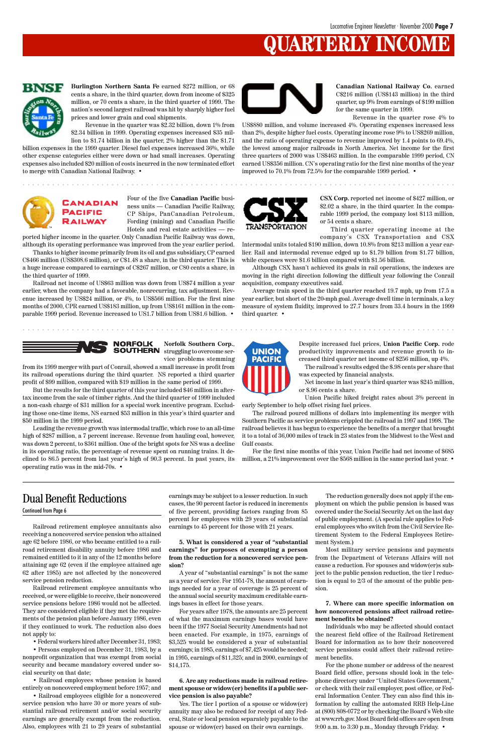# **JARTERLY INCOME**



Railroad retirement employee annuitants also receiving a noncovered service pension who attained age 62 before 1986, or who became entitled to a railroad retirement disability annuity before 1986 and remained entitled to it in any of the 12 months before attaining age 62 (even if the employee attained age 62 after 1985) are not affected by the noncovered service pension reduction. Railroad retirement employee annuitants who received, or were eligible to receive, their noncovered service pensions before 1986 would not be affected. They are considered eligible if they met the requirements of the pension plan before January 1986, even if they continued to work. The reduction also does not apply to:

• Federal workers hired after December 31, 1983;

• Persons employed on December 31, 1983, by a nonprofit organization that was exempt from social security and became mandatory covered under social security on that date;

• Railroad employees whose pension is based entirely on noncovered employment before 1957; and

• Railroad employees eligible for a noncovered service pension who have 30 or more years of substantial railroad retirement and/or social security earnings are generally exempt from the reduction. Also, employees with 21 to 29 years of substantial earnings may be subject to a lesser reduction. In such cases, the 90 percent factor is reduced in increments of five percent, providing factors ranging from 85 percent for employees with 29 years of substantial earnings to 45 percent for those with 21 years.

**5. What is considered a year of "substantial earnings" for purposes of exempting a person**

**from the reduction for a noncovered service pension?**

A year of "substantial earnings" is not the same as a year of service. For 1951-78, the amount of earnings needed for a year of coverage is 25 percent of the annual social security maximum creditable earnings bases in effect for those years.

For years after 1978, the amounts are 25 percent of what the maximum earnings bases would have been if the 1977 Social Security Amendments had not been enacted. For example, in 1975, earnings of \$3,525 would be considered a year of substantial earnings; in 1985, earnings of \$7,425 would be needed; in 1995, earnings of \$11,325; and in 2000, earnings of \$14,175.

#### **6. Are any reductions made in railroad retirement spouse or widow(er) benefits if a public service pension is also payable?**

Yes. The tier I portion of a spouse or widow(er) annuity may also be reduced for receipt of any Federal, State or local pension separately payable to the spouse or widow(er) based on their own earnings.

The reduction generally does not apply if the employment on which the public pension is based was covered under the Social Security Act on the last day of public employment. (A special rule applies to Federal employees who switch from the Civil Service Retirement System to the Federal Employees Retirement System.)

Most military service pensions and payments

from the Department of Veterans Affairs will not cause a reduction. For spouses and widow(er)s subject to the public pension reduction, the tier I reduction is equal to 2/3 of the amount of the public pension.

**7. Where can more specific information on how noncovered pensions affect railroad retirement benefits be obtained?**

Individuals who may be affected should contact the nearest field office of the Railroad Retirement Board for information as to how their noncovered service pensions could affect their railroad retirement benefits.

**SOUTHERN** struggling to overcome service problems stemming

> For the phone number or address of the nearest Board field office, persons should look in the telephone directory under "United States Government," or check with their rail employer, post office, or Federal Information Center. They can also find this information by calling the automated RRB Help-Line at (800) 808-0772 or by checking the Board's Web site at www.rrb.gov. Most Board field offices are open from 9:00 a.m. to 3:30 p.m., Monday through Friday. •

### Dual Benefit Reductions

Continued from Page 6

**Burlington Northern Santa Fe** earned \$272 million, or 68 cents a share, in the third quarter, down from income of \$325 million, or 70 cents a share, in the third quarter of 1999. The nation's second largest railroad was hit by sharply higher fuel prices and lower grain and coal shipments.

Revenue in the quarter was \$2.32 billion, down 1% from \$2.34 billion in 1999. Operating expenses increased \$35 million to \$1.74 billion in the quarter, 2% higher than the \$1.71

billion expenses in the 1999 quarter. Diesel fuel expenses increased 36%, while other expense categories either were down or had small increases. Operating expenses also included \$20 million of costs incurred in the now terminated effort to merge with Canadian National Railway. •



**Canadian National Railway Co.** earned C\$216 million (US\$143 million) in the third quarter, up 9% from earnings of \$199 million for the same quarter in 1999.

Revenue in the quarter rose 4% to US\$880 million, and volume increased 4%. Operating expenses increased less than 2%, despite higher fuel costs. Operating income rose 9% to US\$269 million, and the ratio of operating expense to revenue improved by 1.4 points to 69.4%, the lowest among major railroads in North America. Net income for the first three quarters of 2000 was US\$463 million. In the comparable 1999 period, CN earned US\$356 million. CN's operating ratio for the first nine months of the year improved to 70.1% from 72.5% for the comparable 1999 period. •



Four of the five **Canadian Pacific** business units — Canadian Pacific Railway, CP Ships, PanCanadian Petroleum, Fording (mining) and Canadian Pacific Hotels and real estate activities — re-

ported higher income in the quarter. Only Canadian Pacific Railway was down, although its operating performance was improved from the year earlier period.

Thanks to higher income primarily from its oil and gas subsidiary, CP earned C\$466 million (US\$308.6 million), or C\$1.48 a share, in the third quarter. This is a huge increase compared to earnings of C\$267 million, or C80 cents a share, in the third quarter of 1999.

Railroad net income of US\$63 million was down from US\$74 million a year earlier, when the company had a favorable, nonrecurring, tax adjustment. Revenue increased by US\$24 million, or 4%, to US\$566 million. For the first nine months of 2000, CPR earned US\$183 million, up from US\$161 million in the comparable 1999 period. Revenue increased to US1.7 billion from US\$1.6 billion. •



**CSX Corp.** reported net income of \$427 million, or \$2.02 a share, in the third quarter. In the comparable 1999 period, the company lost \$113 million, or 54 cents a share.

Third quarter operating income at the company's CSX Transportation and CSX

Intermodal units totaled \$190 million, down 10.8% from \$213 million a year earlier. Rail and intermodal revenue edged up to \$1.79 billion from \$1.77 billion, while expenses were \$1.6 billion compared with \$1.56 billion.

Although CSX hasn't achieved its goals in rail operations, the indexes are moving in the right direction following the difficult year following the Conrail acquisition, company executives said.

Average train speed in the third quarter reached 19.7 mph, up from 17.5 a year earlier, but short of the 20-mph goal. Average dwell time in terminals, a key measure of system fluidity, improved to 27.7 hours from 33.4 hours in the 1999 third quarter. •





from its 1999 merger with part of Conrail, showed a small increase in profit from its railroad operations during the third quarter. NS reported a third quarter profit of \$99 million, compared with \$19 million in the same period of 1999.

But the results for the third quarter of this year included \$46 million in aftertax income from the sale of timber rights. And the third quarter of 1999 included a non-cash charge of \$31 million for a special work incentive program. Excluding those one-time items, NS earned \$53 million in this year's third quarter and \$50 million in the 1999 period.

Leading the revenue growth was intermodal traffic, which rose to an all-time high of \$287 million, a 7 percent increase. Revenue from hauling coal, however, was down 2 percent, to \$361 million. One of the bright spots for NS was a decline in its operating ratio, the percentage of revenue spent on running trains. It declined to 86.5 percent from last year's high of 90.3 percent. In past years, its operating ratio was in the mid-70s. •



Despite increased fuel prices, **Union Pacific Corp.** rode productivity improvements and revenue growth to increased third quarter net income of \$256 million, up 4%.

The railroad's results edged the \$.98 cents per share that was expected by financial analysts.

Net income in last year's third quarter was \$245 million, or \$.96 cents a share.

Union Pacific hiked freight rates about 3% percent in early September to help offset rising fuel prices.

The railroad poured millions of dollars into implementing its merger with Southern Pacific as service problems crippled the railroad in 1997 and 1998. The railroad believes it has begun to experience the benefits of a merger that brought it to a total of 36,000 miles of track in 23 states from the Midwest to the West and Gulf coasts.

For the first nine months of this year, Union Pacific had net income of \$685 million, a 21% improvement over the \$568 million in the same period last year. •

aaaaaaaaaaaaaaaaaaaaaaaaaaaaaaaaaaaaaaaaaaaaaaaaaaaaaaaaaaaaaaaaa aaaaaaaaaaaaaaaaaaaaaaa

aaaaaaaaaaaaaaaaaaaaaaaaaaaaaaaaaaaaaaaaaaaaaaaaaaaaaaaaaaaaaaaaa aaaaaaaaaaaaaaaaaaaaaaa